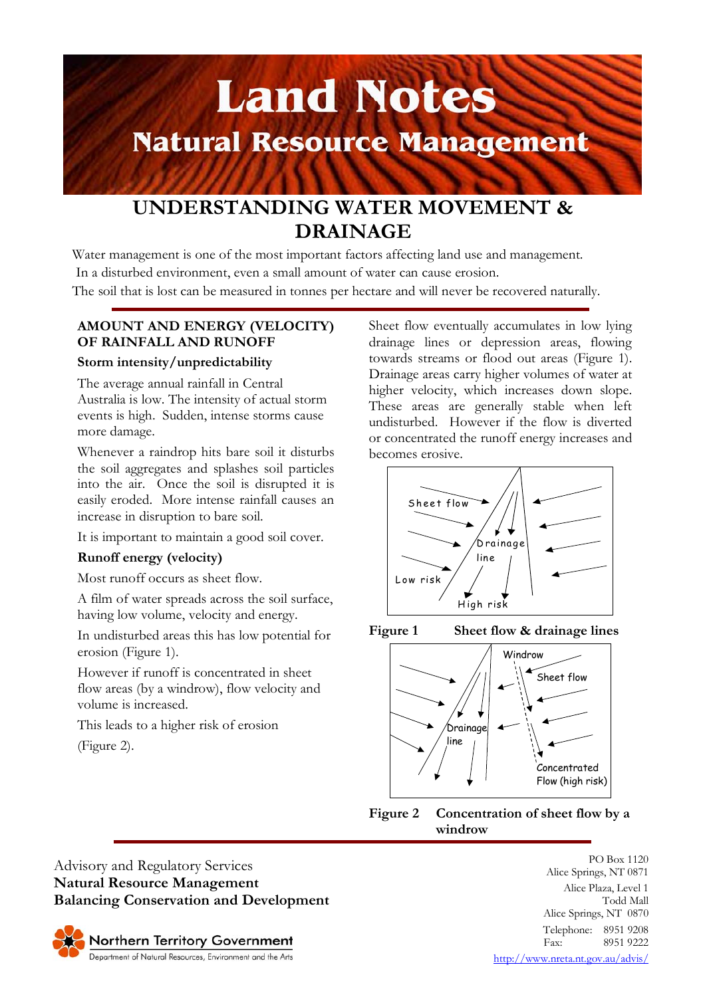# **Land Notes Natural Resource Management**

# **UNDERSTANDING WATER MOVEMENT & DRAINAGE**

Water management is one of the most important factors affecting land use and management. In a disturbed environment, even a small amount of water can cause erosion.

The soil that is lost can be measured in tonnes per hectare and will never be recovered naturally.

# **AMOUNT AND ENERGY (VELOCITY) OF RAINFALL AND RUNOFF**

### **Storm intensity/unpredictability**

The average annual rainfall in Central Australia is low. The intensity of actual storm events is high. Sudden, intense storms cause more damage.

Whenever a raindrop hits bare soil it disturbs the soil aggregates and splashes soil particles into the air. Once the soil is disrupted it is easily eroded. More intense rainfall causes an increase in disruption to bare soil.

It is important to maintain a good soil cover.

# **Runoff energy (velocity)**

Most runoff occurs as sheet flow.

A film of water spreads across the soil surface, having low volume, velocity and energy.

In undisturbed areas this has low potential for erosion (Figure 1).

However if runoff is concentrated in sheet flow areas (by a windrow), flow velocity and volume is increased.

This leads to a higher risk of erosion

(Figure 2).

Sheet flow eventually accumulates in low lying drainage lines or depression areas, flowing towards streams or flood out areas (Figure 1). Drainage areas carry higher volumes of water at higher velocity, which increases down slope. These areas are generally stable when left undisturbed. However if the flow is diverted or concentrated the runoff energy increases and becomes erosive.







**Figure 2 Concentration of sheet flow by a windrow**

Advisory and Regulatory Services **Natural Resource Management Balancing Conservation and Development**



PO Box 1120 Alice Springs, NT 0871 Alice Plaza, Level 1 Todd Mall Alice Springs, NT 0870 Telephone: 8951 9208 Fax: 8951 9222

http://www.nreta.nt.gov.au/advis/